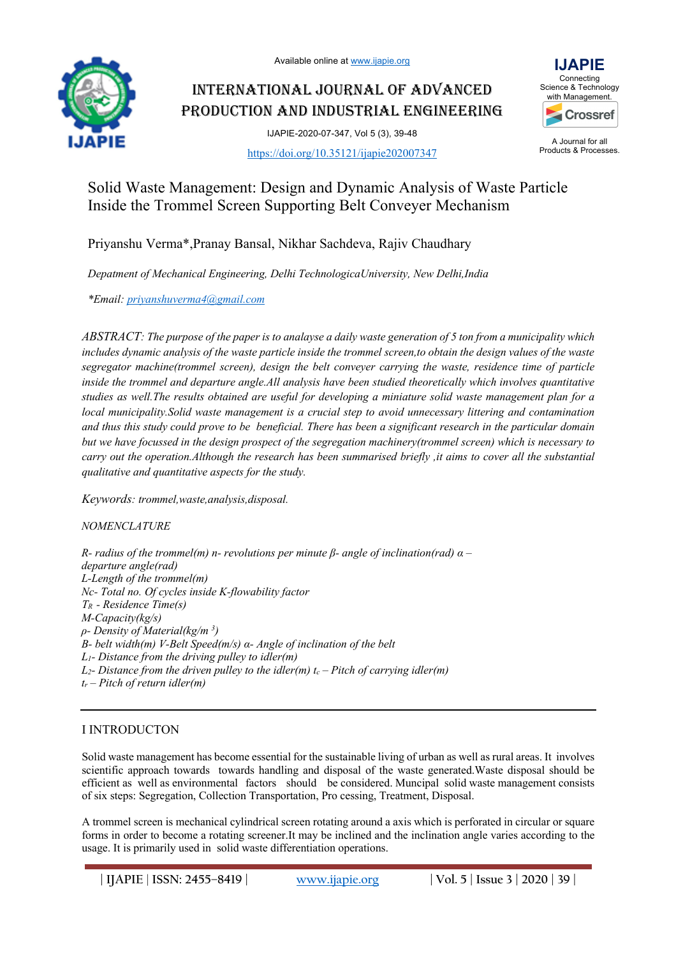

# INTERNATIONAL JOURNAL OF ADVANCED PRODUCTION AND INDUSTRIAL ENGINEERING

IJAPIE-2020-07-347, Vol 5 (3), 39-48 https://doi.org/10.35121/ijapie202007347



A Journal for all Products & Processes.

# Solid Waste Management: Design and Dynamic Analysis of Waste Particle Inside the Trommel Screen Supporting Belt Conveyer Mechanism

Priyanshu Verma\*,Pranay Bansal, Nikhar Sachdeva, Rajiv Chaudhary

*Depatment of Mechanical Engineering, Delhi TechnologicaUniversity, New Delhi,India*

*\*Email: priyanshuverma4@gmail.com*

*ABSTRACT: The purpose of the paper is to analayse a daily waste generation of 5 ton from a municipality which includes dynamic analysis of the waste particle inside the trommel screen,to obtain the design values of the waste segregator machine(trommel screen), design the belt conveyer carrying the waste, residence time of particle inside the trommel and departure angle.All analysis have been studied theoretically which involves quantitative studies as well.The results obtained are useful for developing a miniature solid waste management plan for a local municipality.Solid waste management is a crucial step to avoid unnecessary littering and contamination and thus this study could prove to be beneficial. There has been a significant research in the particular domain but we have focussed in the design prospect of the segregation machinery(trommel screen) which is necessary to carry out the operation.Although the research has been summarised briefly ,it aims to cover all the substantial qualitative and quantitative aspects for the study.* 

*Keywords: trommel,waste,analysis,disposal.*

*NOMENCLATURE* 

*R- radius of the trommel(m) n- revolutions per minute β- angle of inclination(rad) α – departure angle(rad) L-Length of the trommel(m) Nc- Total no. Of cycles inside K-flowability factor TR - Residence Time(s) M-Capacity(kg/s) ρ- Density of Material(kg/m 3 ) B- belt width(m) V-Belt Speed(m/s) α- Angle of inclination of the belt L1- Distance from the driving pulley to idler(m)*   $L_2$ - *Distance from the driven pulley to the idler(m) t<sub>c</sub> – Pitch of carrying idler(m) tr – Pitch of return idler(m)* 

# I INTRODUCTON

Solid waste management has become essential for the sustainable living of urban as well as rural areas. It involves scientific approach towards towards handling and disposal of the waste generated.Waste disposal should be efficient as well as environmental factors should be considered. Muncipal solid waste management consists of six steps: Segregation, Collection Transportation, Pro cessing, Treatment, Disposal.

A trommel screen is mechanical cylindrical screen rotating around a axis which is perforated in circular or square forms in order to become a rotating screener.It may be inclined and the inclination angle varies according to the usage. It is primarily used in solid waste differentiation operations.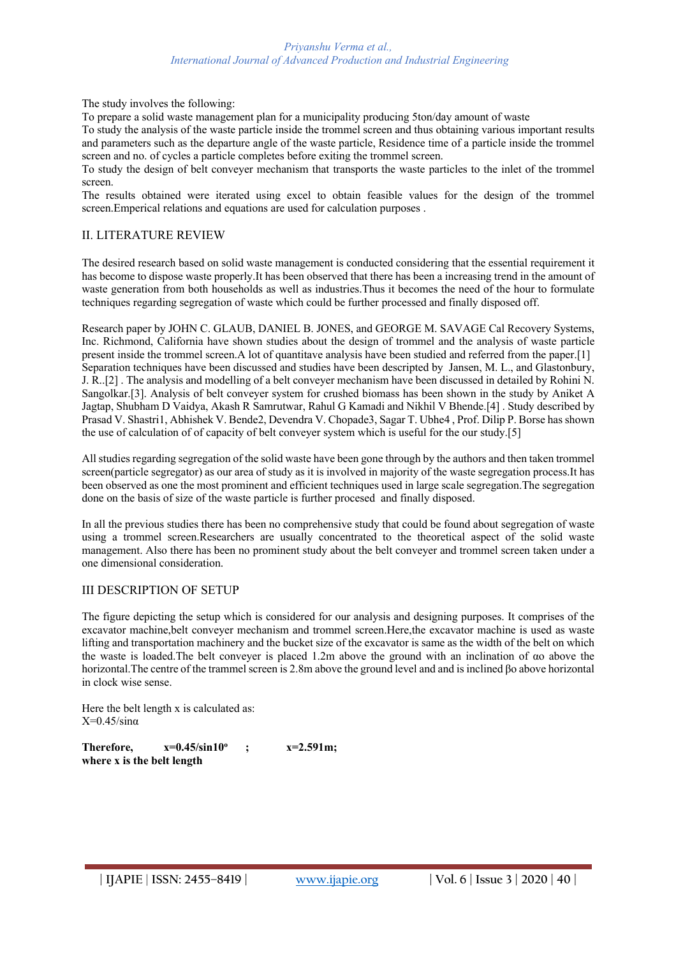The study involves the following:

To prepare a solid waste management plan for a municipality producing 5ton/day amount of waste

To study the analysis of the waste particle inside the trommel screen and thus obtaining various important results and parameters such as the departure angle of the waste particle, Residence time of a particle inside the trommel screen and no. of cycles a particle completes before exiting the trommel screen.

To study the design of belt conveyer mechanism that transports the waste particles to the inlet of the trommel screen.

The results obtained were iterated using excel to obtain feasible values for the design of the trommel screen.Emperical relations and equations are used for calculation purposes .

# II. LITERATURE REVIEW

The desired research based on solid waste management is conducted considering that the essential requirement it has become to dispose waste properly.It has been observed that there has been a increasing trend in the amount of waste generation from both households as well as industries.Thus it becomes the need of the hour to formulate techniques regarding segregation of waste which could be further processed and finally disposed off.

Research paper by JOHN C. GLAUB, DANIEL B. JONES, and GEORGE M. SAVAGE Cal Recovery Systems, Inc. Richmond, California have shown studies about the design of trommel and the analysis of waste particle present inside the trommel screen.A lot of quantitave analysis have been studied and referred from the paper.[1] Separation techniques have been discussed and studies have been descripted by Jansen, M. L., and Glastonbury, J. R..[2] . The analysis and modelling of a belt conveyer mechanism have been discussed in detailed by Rohini N. Sangolkar.[3]. Analysis of belt conveyer system for crushed biomass has been shown in the study by Aniket A Jagtap, Shubham D Vaidya, Akash R Samrutwar, Rahul G Kamadi and Nikhil V Bhende.[4] . Study described by Prasad V. Shastri1, Abhishek V. Bende2, Devendra V. Chopade3, Sagar T. Ubhe4 , Prof. Dilip P. Borse has shown the use of calculation of of capacity of belt conveyer system which is useful for the our study.[5]

All studies regarding segregation of the solid waste have been gone through by the authors and then taken trommel screen(particle segregator) as our area of study as it is involved in majority of the waste segregation process.It has been observed as one the most prominent and efficient techniques used in large scale segregation.The segregation done on the basis of size of the waste particle is further procesed and finally disposed.

In all the previous studies there has been no comprehensive study that could be found about segregation of waste using a trommel screen.Researchers are usually concentrated to the theoretical aspect of the solid waste management. Also there has been no prominent study about the belt conveyer and trommel screen taken under a one dimensional consideration.

# III DESCRIPTION OF SETUP

The figure depicting the setup which is considered for our analysis and designing purposes. It comprises of the excavator machine,belt conveyer mechanism and trommel screen.Here,the excavator machine is used as waste lifting and transportation machinery and the bucket size of the excavator is same as the width of the belt on which the waste is loaded.The belt conveyer is placed 1.2m above the ground with an inclination of αo above the horizontal.The centre of the trammel screen is 2.8m above the ground level and and is inclined βo above horizontal in clock wise sense.

Here the belt length x is calculated as:  $X=0.45/\sin\alpha$ 

**Therefore,**  $x=0.45/\sin 10^{\circ}$  **;**  $x=2.591$ m; **where x is the belt length**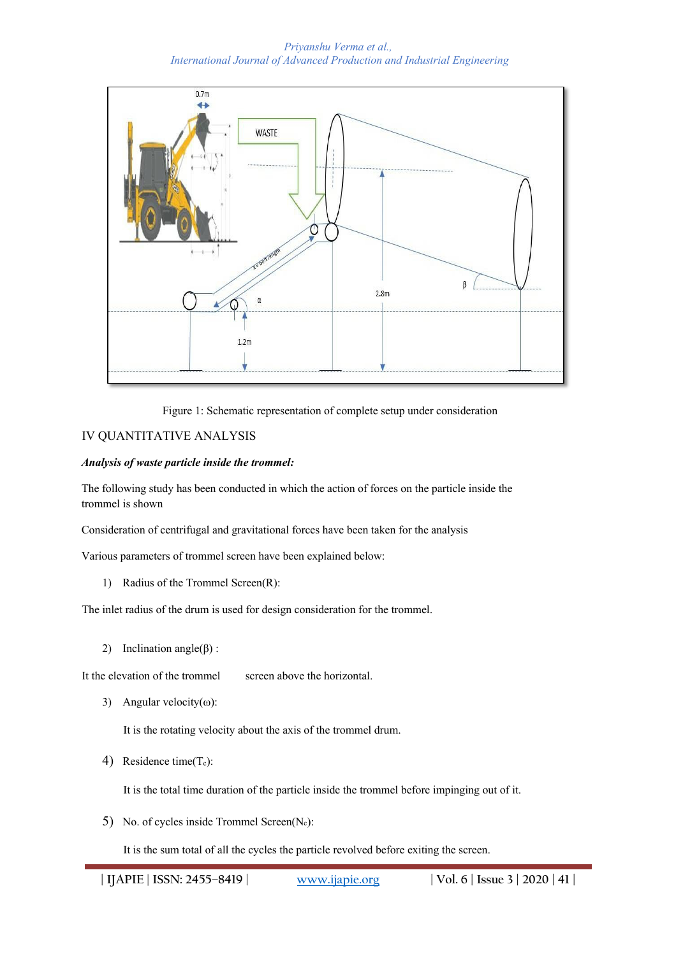

Figure 1: Schematic representation of complete setup under consideration

# IV QUANTITATIVE ANALYSIS

# *Analysis of waste particle inside the trommel:*

The following study has been conducted in which the action of forces on the particle inside the trommel is shown

Consideration of centrifugal and gravitational forces have been taken for the analysis

Various parameters of trommel screen have been explained below:

1) Radius of the Trommel Screen(R):

The inlet radius of the drum is used for design consideration for the trommel.

2) Inclination angle( $β$ ) :

It the elevation of the trommel screen above the horizontal.

3) Angular velocity( $\omega$ ):

It is the rotating velocity about the axis of the trommel drum.

4) Residence time $(T_c)$ :

It is the total time duration of the particle inside the trommel before impinging out of it.

5) No. of cycles inside Trommel Screen $(N_c)$ :

It is the sum total of all the cycles the particle revolved before exiting the screen.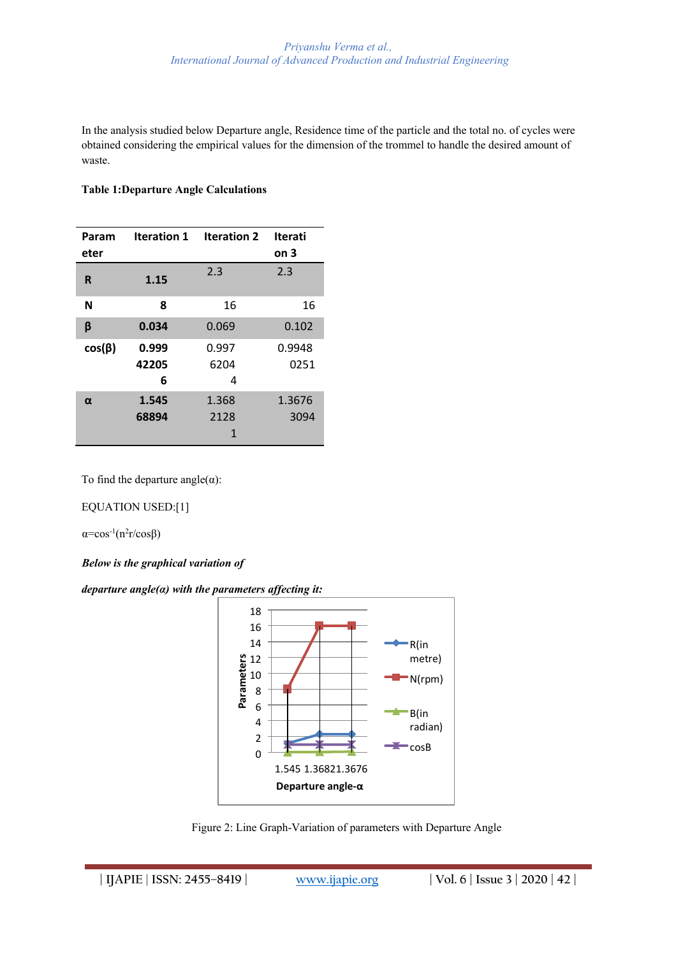In the analysis studied below Departure angle, Residence time of the particle and the total no. of cycles were obtained considering the empirical values for the dimension of the trommel to handle the desired amount of waste.

# **Table 1:Departure Angle Calculations**

| Param<br>eter | Iteration 1         | <b>Iteration 2</b> | <b>Iterati</b><br>on <sub>3</sub> |
|---------------|---------------------|--------------------|-----------------------------------|
| R             | 1.15                | 2.3                | 2.3                               |
| N             | 8                   | 16                 | 16                                |
| β             | 0.034               | 0.069              | 0.102                             |
| $cos(\beta)$  | 0.999<br>42205<br>6 | 0.997<br>6204<br>4 | 0.9948<br>0251                    |
| α             | 1.545<br>68894      | 1.368<br>2128<br>1 | 1.3676<br>3094                    |

To find the departure angle $(\alpha)$ :

EQUATION USED:[1]

 $\alpha = \cos^{-1}(n^2r/\cos\beta)$ 

*Below is the graphical variation of* 

*departure angle(α) with the parameters affecting it:* 



Figure 2: Line Graph-Variation of parameters with Departure Angle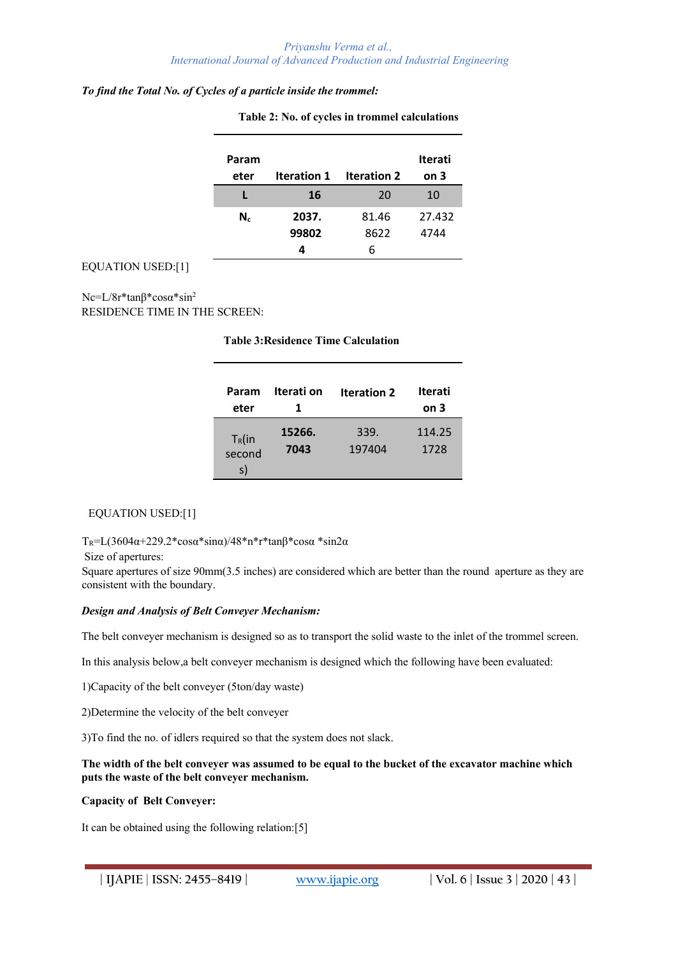#### *To find the Total No. of Cycles of a particle inside the trommel:*

| Param<br>eter | <b>Iteration 1</b> | <b>Iteration 2</b> | <b>Iterati</b><br>on <sub>3</sub> |
|---------------|--------------------|--------------------|-----------------------------------|
|               | 16                 | 20                 | 10                                |
| $N_c$         | 2037.              | 81.46              | 27.432                            |
|               | 99802              | 8622               | 4744                              |
|               |                    | 6                  |                                   |

**Table 2: No. of cycles in trommel calculations**

# EQUATION USED:[1]

Nc=L/8r\*tanβ\*cosα\*sin2 RESIDENCE TIME IN THE SCREEN:

**Table 3:Residence Time Calculation**

| Param<br>eter             | Iterati on     | <b>Iteration 2</b> | Iterati<br>on 3 |
|---------------------------|----------------|--------------------|-----------------|
| $T_R$ (in<br>second<br>s) | 15266.<br>7043 | 339.<br>197404     | 114.25<br>1728  |

# EQUATION USED:[1]

TR=L(3604α+229.2\*cosα\*sinα)/48\*n\*r\*tanβ\*cosα \*sin2α

#### Size of apertures:

Square apertures of size 90mm(3.5 inches) are considered which are better than the round aperture as they are consistent with the boundary.

# *Design and Analysis of Belt Conveyer Mechanism:*

The belt conveyer mechanism is designed so as to transport the solid waste to the inlet of the trommel screen.

In this analysis below,a belt conveyer mechanism is designed which the following have been evaluated:

1)Capacity of the belt conveyer (5ton/day waste)

2)Determine the velocity of the belt conveyer

3)To find the no. of idlers required so that the system does not slack.

#### **The width of the belt conveyer was assumed to be equal to the bucket of the excavator machine which puts the waste of the belt conveyer mechanism.**

# **Capacity of Belt Conveyer:**

It can be obtained using the following relation:[5]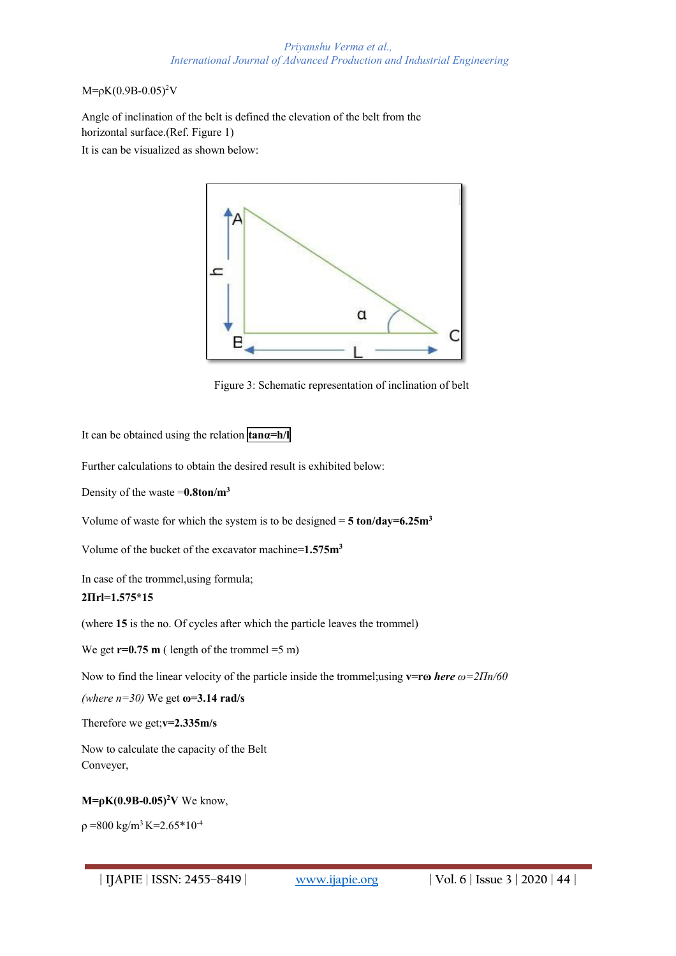#### $M=pK(0.9B-0.05)^2V$

Angle of inclination of the belt is defined the elevation of the belt from the horizontal surface.(Ref. Figure 1)

It is can be visualized as shown below:



Figure 3: Schematic representation of inclination of belt

It can be obtained using the relation **tanα=h/l** 

Further calculations to obtain the desired result is exhibited below:

Density of the waste =**0.8ton/m3** 

Volume of waste for which the system is to be designed  $= 5 \text{ ton/day} = 6.25 \text{ m}^3$ 

Volume of the bucket of the excavator machine=**1.575m3** 

In case of the trommel,using formula;

# **2Πrl=1.575\*15**

(where **15** is the no. Of cycles after which the particle leaves the trommel)

We get  $r=0.75$  m ( length of the trommel  $=5$  m)

Now to find the linear velocity of the particle inside the trommel;using **v=rω** *here ω=2Πn/60* 

*(where n=30)* We get **ω=3.14 rad/s** 

Therefore we get;**v=2.335m/s** 

Now to calculate the capacity of the Belt Conveyer,

# **M=ρK(0.9B-0.05)<sup>2</sup>V** We know,

 $p = 800 \text{ kg/m}^3 \text{ K} = 2.65 \cdot 10^{-4}$ 

**| IJAPIE** | **ISSN: 2455–8419 | www.ijapie.org | Vol. 6 | Issue 3 | 2020 | 44 |**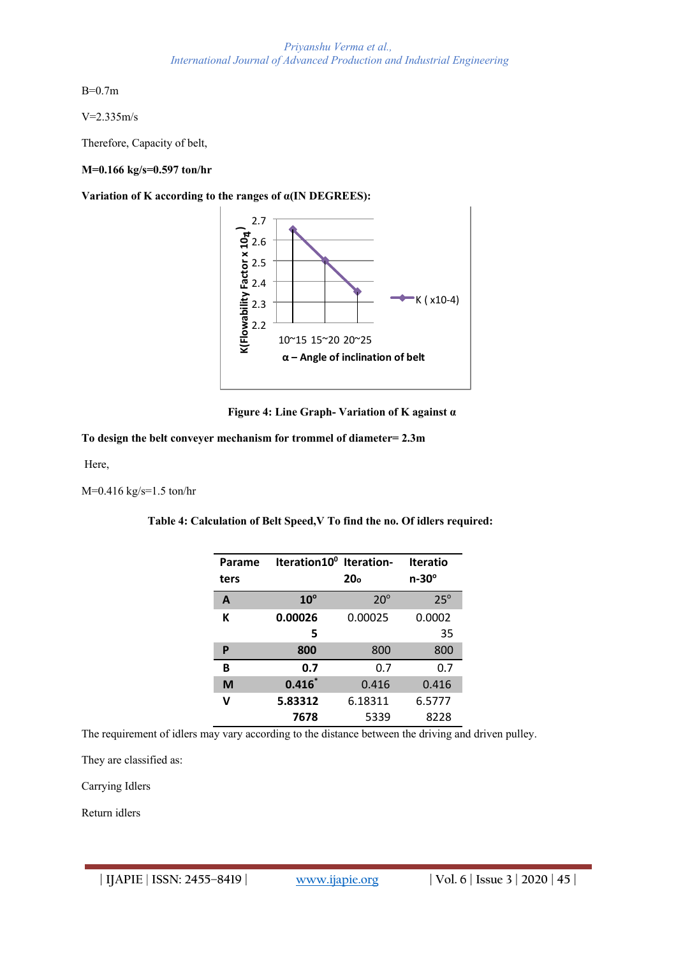B=0.7m

V=2.335m/s

Therefore, Capacity of belt,

#### **M=0.166 kg/s=0.597 ton/hr**

**Variation of K according to the ranges of α(IN DEGREES):** 





#### **To design the belt conveyer mechanism for trommel of diameter= 2.3m**

Here,

M=0.416 kg/s=1.5 ton/hr

**Table 4: Calculation of Belt Speed,V To find the no. Of idlers required:**

| Parame<br>ters | Iteration10 <sup>0</sup> Iteration- | 20 <sub>o</sub> | <b>Iteratio</b><br>$n-30^\circ$ |
|----------------|-------------------------------------|-----------------|---------------------------------|
| A              | $10^{\circ}$                        | $20^\circ$      | $25^\circ$                      |
| К              | 0.00026                             | 0.00025         | 0.0002                          |
|                | 5                                   |                 | 35                              |
| P              | 800                                 | 800             | 800                             |
| B              | 0.7                                 | 0.7             | 0.7                             |
| M              | $0.416*$                            | 0.416           | 0.416                           |
| v              | 5.83312                             | 6.18311         | 6.5777                          |
|                | 7678                                | 5339            | 8228                            |

The requirement of idlers may vary according to the distance between the driving and driven pulley.

They are classified as:

Carrying Idlers

Return idlers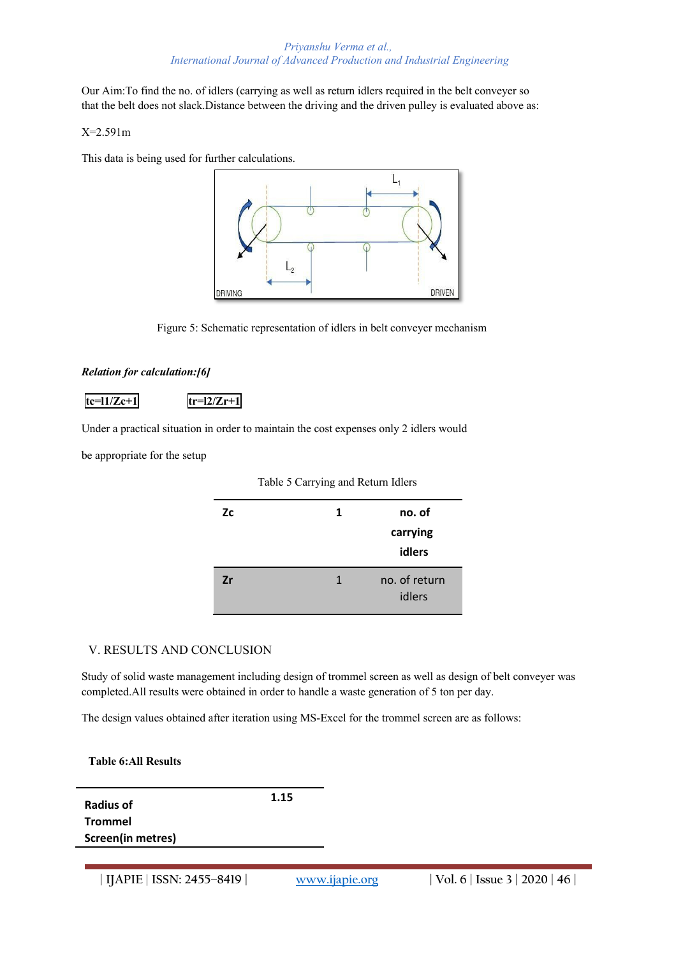Our Aim:To find the no. of idlers (carrying as well as return idlers required in the belt conveyer so that the belt does not slack.Distance between the driving and the driven pulley is evaluated above as:

# X=2.591m

This data is being used for further calculations.



Figure 5: Schematic representation of idlers in belt conveyer mechanism

# *Relation for calculation:[6]*

 $\text{tc=11/Zc+1}$   $\text{tr=12/Zr+1}$ 

Under a practical situation in order to maintain the cost expenses only 2 idlers would

be appropriate for the setup

|           | Table 5 Carl ying and return raidis |               |
|-----------|-------------------------------------|---------------|
| <b>Zc</b> | 1                                   | no. of        |
|           |                                     | carrying      |
|           |                                     | idlers        |
| Zr        | 1                                   | no. of return |

idlers

Table 5 Carrying and Return Idlers

# V. RESULTS AND CONCLUSION

Study of solid waste management including design of trommel screen as well as design of belt conveyer was completed.All results were obtained in order to handle a waste generation of 5 ton per day.

The design values obtained after iteration using MS-Excel for the trommel screen are as follows:

**Table 6:All Results** 

**Radius of Trommel Screen(in metres)**  **1.15**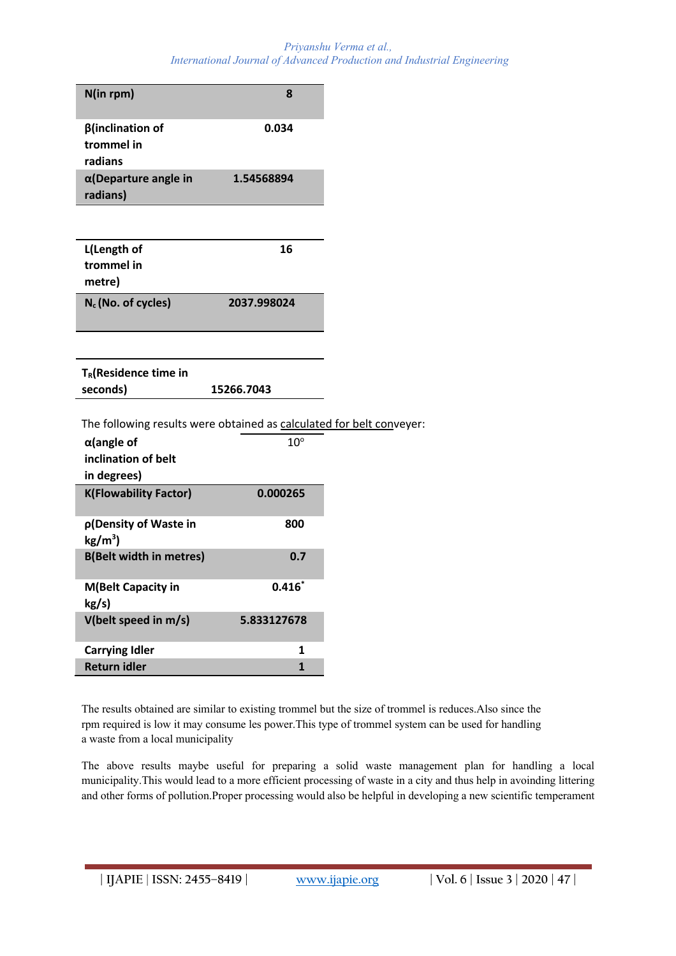| N(in rpm)                                                            | 8            |  |
|----------------------------------------------------------------------|--------------|--|
|                                                                      |              |  |
| $\beta$ (inclination of<br>trommel in                                | 0.034        |  |
| radians                                                              |              |  |
| $\alpha$ (Departure angle in                                         | 1.54568894   |  |
| radians)                                                             |              |  |
|                                                                      |              |  |
| L(Length of                                                          | 16           |  |
| trommel in                                                           |              |  |
| metre)                                                               |              |  |
| $N_c$ (No. of cycles)                                                | 2037.998024  |  |
|                                                                      |              |  |
|                                                                      |              |  |
|                                                                      |              |  |
|                                                                      |              |  |
| T <sub>R</sub> (Residence time in                                    |              |  |
| seconds)                                                             | 15266.7043   |  |
| The following results were obtained as calculated for belt conveyer: |              |  |
| $\alpha$ (angle of                                                   | $10^{\circ}$ |  |
| inclination of belt                                                  |              |  |
| in degrees)                                                          |              |  |
| <b>K(Flowability Factor)</b>                                         | 0.000265     |  |
| p(Density of Waste in                                                | 800          |  |
| $kg/m3$ )                                                            |              |  |
| <b>B(Belt width in metres)</b>                                       | 0.7          |  |
| <b>M(Belt Capacity in</b>                                            | $0.416*$     |  |
| kg/s)                                                                |              |  |
| V(belt speed in m/s)                                                 | 5.833127678  |  |
| <b>Carrying Idler</b>                                                | 1            |  |

The results obtained are similar to existing trommel but the size of trommel is reduces.Also since the rpm required is low it may consume les power.This type of trommel system can be used for handling a waste from a local municipality

The above results maybe useful for preparing a solid waste management plan for handling a local municipality.This would lead to a more efficient processing of waste in a city and thus help in avoinding littering and other forms of pollution.Proper processing would also be helpful in developing a new scientific temperament